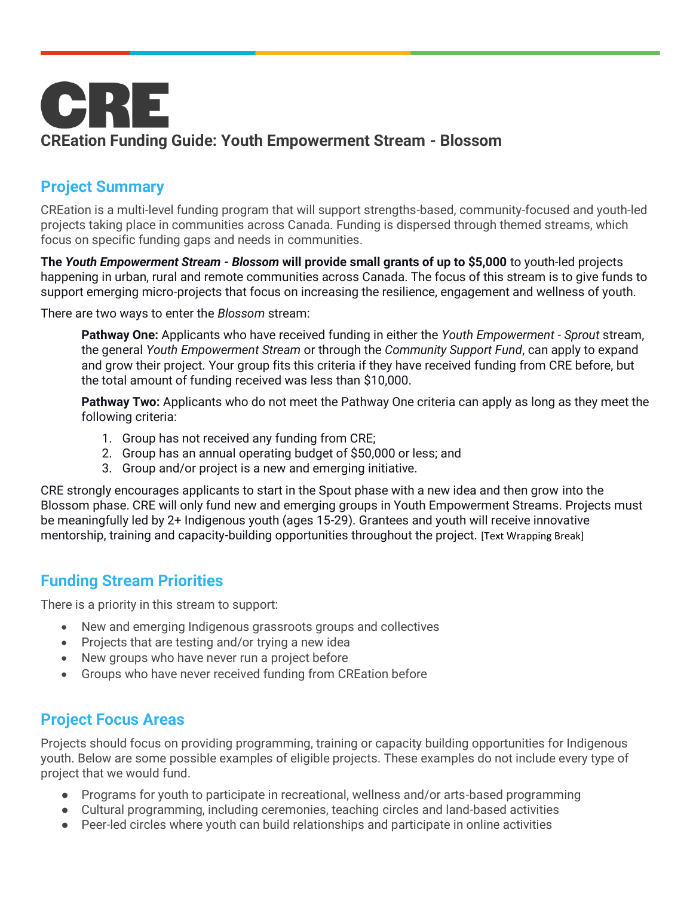

# **Project Summary**

CREation is a multi-level funding program that will support strengths-based, community-focused and youth-led projects taking place in communities across Canada. Funding is dispersed through themed streams, which focus on specific funding gaps and needs in communities.

**The** *Youth Empowerment Stream - Blossom* **will provide small grants of up to \$5,000** to youth-led projects happening in urban, rural and remote communities across Canada. The focus of this stream is to give funds to support emerging micro-projects that focus on increasing the resilience, engagement and wellness of youth.

There are two ways to enter the *Blossom* stream:

**Pathway One:** Applicants who have received funding in either the *Youth Empowerment - Sprout* stream, the general *Youth Empowerment Stream* or through the *Community Support Fund*, can apply to expand and grow their project. Your group fits this criteria if they have received funding from CRE before, but the total amount of funding received was less than \$10,000.

**Pathway Two:** Applicants who do not meet the Pathway One criteria can apply as long as they meet the following criteria:

- 1. Group has not received any funding from CRE;
- 2. Group has an annual operating budget of \$50,000 or less; and
- 3. Group and/or project is a new and emerging initiative.

CRE strongly encourages applicants to start in the Spout phase with a new idea and then grow into the Blossom phase. CRE will only fund new and emerging groups in Youth Empowerment Streams. Projects must be meaningfully led by 2+ Indigenous youth (ages 15-29). Grantees and youth will receive innovative mentorship, training and capacity-building opportunities throughout the project. [Text Wrapping Break]

## **Funding Stream Priorities**

There is a priority in this stream to support:

- New and emerging Indigenous grassroots groups and collectives
- Projects that are testing and/or trying a new idea
- New groups who have never run a project before
- Groups who have never received funding from CREation before

## **Project Focus Areas**

Projects should focus on providing programming, training or capacity building opportunities for Indigenous youth. Below are some possible examples of eligible projects. These examples do not include every type of project that we would fund.

- Programs for youth to participate in recreational, wellness and/or arts-based programming
- Cultural programming, including ceremonies, teaching circles and land-based activities
- Peer-led circles where youth can build relationships and participate in online activities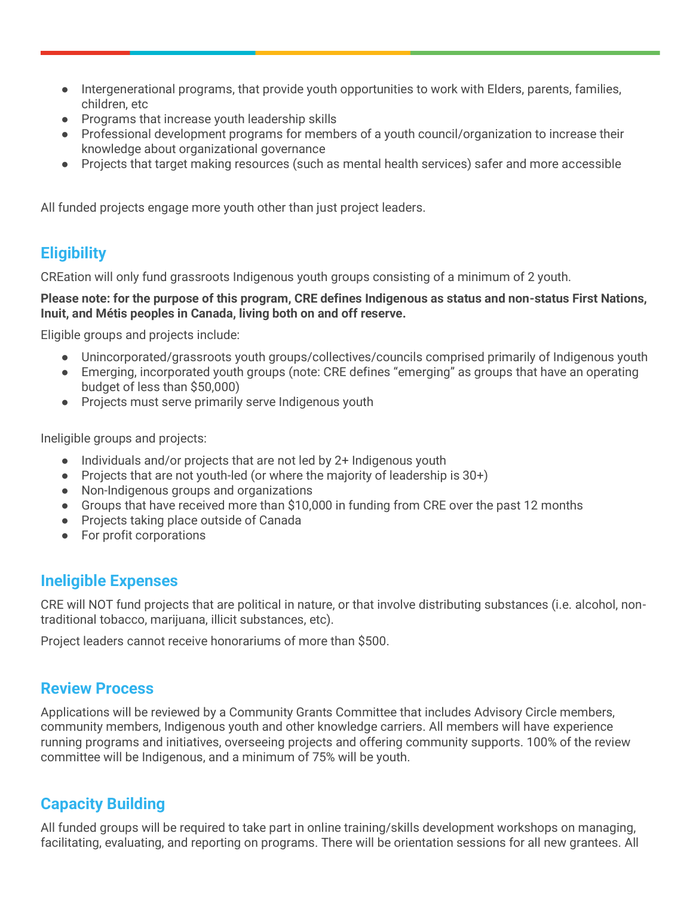- Intergenerational programs, that provide youth opportunities to work with Elders, parents, families, children, etc
- Programs that increase youth leadership skills
- Professional development programs for members of a youth council/organization to increase their knowledge about organizational governance
- Projects that target making resources (such as mental health services) safer and more accessible

All funded projects engage more youth other than just project leaders.

## **Eligibility**

CREation will only fund grassroots Indigenous youth groups consisting of a minimum of 2 youth.

#### **Please note: for the purpose of this program, CRE defines Indigenous as status and non-status First Nations, Inuit, and Métis peoples in Canada, living both on and off reserve.**

Eligible groups and projects include:

- Unincorporated/grassroots youth groups/collectives/councils comprised primarily of Indigenous youth
- Emerging, incorporated youth groups (note: CRE defines "emerging" as groups that have an operating budget of less than \$50,000)
- Projects must serve primarily serve Indigenous youth

Ineligible groups and projects:

- Individuals and/or projects that are not led by 2+ Indigenous youth
- Projects that are not youth-led (or where the majority of leadership is 30+)
- Non-Indigenous groups and organizations
- Groups that have received more than \$10,000 in funding from CRE over the past 12 months
- Projects taking place outside of Canada
- For profit corporations

## **Ineligible Expenses**

CRE will NOT fund projects that are political in nature, or that involve distributing substances (i.e. alcohol, nontraditional tobacco, marijuana, illicit substances, etc).

Project leaders cannot receive honorariums of more than \$500.

## **Review Process**

Applications will be reviewed by a Community Grants Committee that includes Advisory Circle members, community members, Indigenous youth and other knowledge carriers. All members will have experience running programs and initiatives, overseeing projects and offering community supports. 100% of the review committee will be Indigenous, and a minimum of 75% will be youth.

## **Capacity Building**

All funded groups will be required to take part in online training/skills development workshops on managing, facilitating, evaluating, and reporting on programs. There will be orientation sessions for all new grantees. All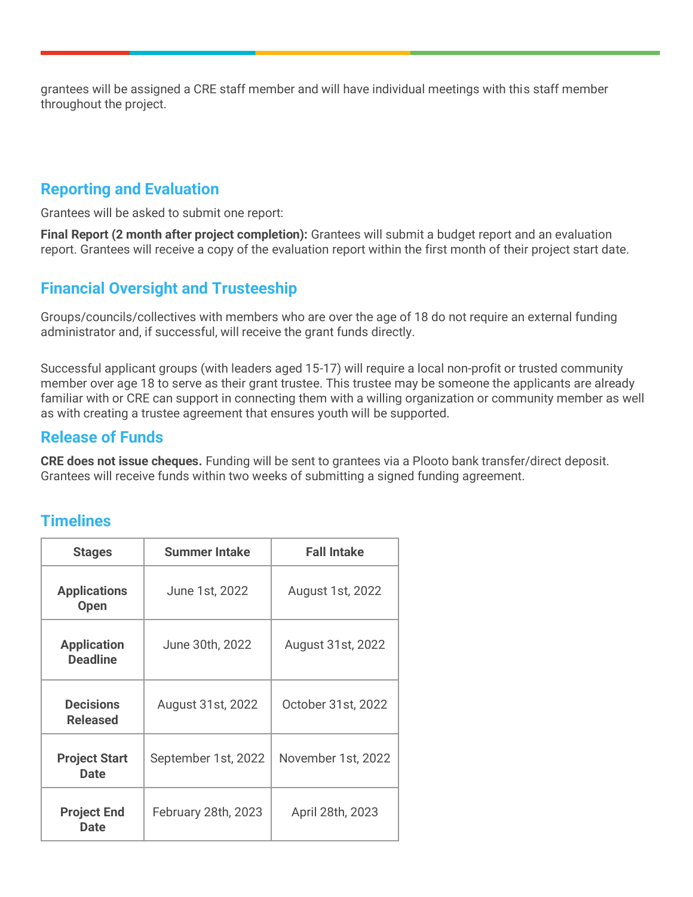grantees will be assigned a CRE staff member and will have individual meetings with this staff member throughout the project.

## **Reporting and Evaluation**

Grantees will be asked to submit one report:

**Final Report (2 month after project completion):** Grantees will submit a budget report and an evaluation report. Grantees will receive a copy of the evaluation report within the first month of their project start date.

## **Financial Oversight and Trusteeship**

Groups/councils/collectives with members who are over the age of 18 do not require an external funding administrator and, if successful, will receive the grant funds directly.

Successful applicant groups (with leaders aged 15-17) will require a local non-profit or trusted community member over age 18 to serve as their grant trustee. This trustee may be someone the applicants are already familiar with or CRE can support in connecting them with a willing organization or community member as well as with creating a trustee agreement that ensures youth will be supported.

#### **Release of Funds**

**CRE does not issue cheques.** Funding will be sent to grantees via a Plooto bank transfer/direct deposit. Grantees will receive funds within two weeks of submitting a signed funding agreement.

## **Timelines**

| <b>Stages</b>                         | <b>Summer Intake</b> | <b>Fall Intake</b> |
|---------------------------------------|----------------------|--------------------|
| <b>Applications</b><br><b>Open</b>    | June 1st, 2022       | August 1st, 2022   |
| <b>Application</b><br><b>Deadline</b> | June 30th, 2022      | August 31st, 2022  |
| <b>Decisions</b><br><b>Released</b>   | August 31st, 2022    | October 31st, 2022 |
| <b>Project Start</b><br><b>Date</b>   | September 1st, 2022  | November 1st, 2022 |
| <b>Project End</b><br><b>Date</b>     | February 28th, 2023  | April 28th, 2023   |